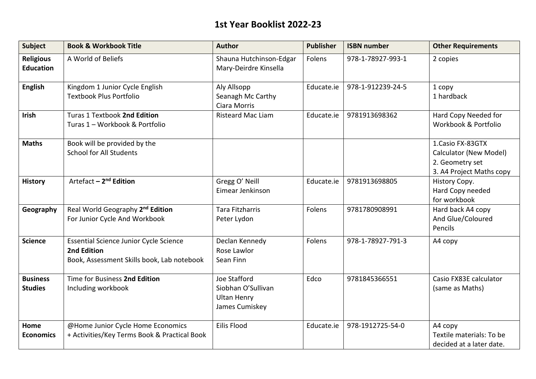#### **1st Year Booklist 2022-23**

| <b>Subject</b>                       | <b>Book &amp; Workbook Title</b>                                                                           | <b>Author</b>                                                              | <b>Publisher</b> | <b>ISBN number</b> | <b>Other Requirements</b>                                                                  |
|--------------------------------------|------------------------------------------------------------------------------------------------------------|----------------------------------------------------------------------------|------------------|--------------------|--------------------------------------------------------------------------------------------|
| <b>Religious</b><br><b>Education</b> | A World of Beliefs                                                                                         | Shauna Hutchinson-Edgar<br>Mary-Deirdre Kinsella                           | Folens           | 978-1-78927-993-1  | 2 copies                                                                                   |
| <b>English</b>                       | Kingdom 1 Junior Cycle English<br><b>Textbook Plus Portfolio</b>                                           | Aly Allsopp<br>Seanagh Mc Carthy<br>Ciara Morris                           | Educate.ie       | 978-1-912239-24-5  | 1 copy<br>1 hardback                                                                       |
| <b>Irish</b>                         | Turas 1 Textbook 2nd Edition<br>Turas 1 - Workbook & Portfolio                                             | <b>Risteard Mac Liam</b>                                                   | Educate.ie       | 9781913698362      | Hard Copy Needed for<br>Workbook & Portfolio                                               |
| <b>Maths</b>                         | Book will be provided by the<br><b>School for All Students</b>                                             |                                                                            |                  |                    | 1. Casio FX-83GTX<br>Calculator (New Model)<br>2. Geometry set<br>3. A4 Project Maths copy |
| <b>History</b>                       | Artefact - 2 <sup>nd</sup> Edition                                                                         | Gregg O' Neill<br>Eimear Jenkinson                                         | Educate.ie       | 9781913698805      | History Copy.<br>Hard Copy needed<br>for workbook                                          |
| Geography                            | Real World Geography 2 <sup>nd</sup> Edition<br>For Junior Cycle And Workbook                              | <b>Tara Fitzharris</b><br>Peter Lydon                                      | Folens           | 9781780908991      | Hard back A4 copy<br>And Glue/Coloured<br>Pencils                                          |
| <b>Science</b>                       | <b>Essential Science Junior Cycle Science</b><br>2nd Edition<br>Book, Assessment Skills book, Lab notebook | Declan Kennedy<br>Rose Lawlor<br>Sean Finn                                 | Folens           | 978-1-78927-791-3  | A4 copy                                                                                    |
| <b>Business</b><br><b>Studies</b>    | Time for Business 2nd Edition<br>Including workbook                                                        | Joe Stafford<br>Siobhan O'Sullivan<br><b>Ultan Henry</b><br>James Cumiskey | Edco             | 9781845366551      | Casio FX83E calculator<br>(same as Maths)                                                  |
| Home<br><b>Economics</b>             | @Home Junior Cycle Home Economics<br>+ Activities/Key Terms Book & Practical Book                          | <b>Eilis Flood</b>                                                         | Educate.ie       | 978-1912725-54-0   | A4 copy<br>Textile materials: To be<br>decided at a later date.                            |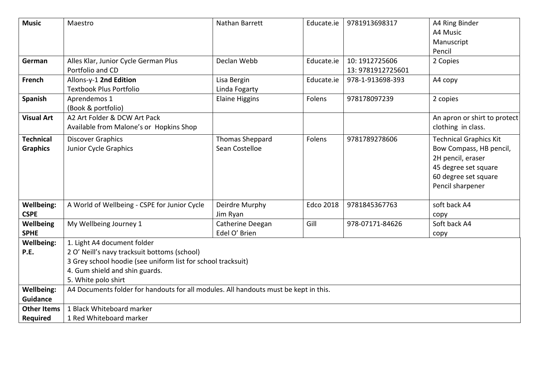| <b>Music</b>       | Maestro                                                                              | Nathan Barrett        | Educate.ie       | 9781913698317    | A4 Ring Binder                |
|--------------------|--------------------------------------------------------------------------------------|-----------------------|------------------|------------------|-------------------------------|
|                    |                                                                                      |                       |                  |                  | A4 Music                      |
|                    |                                                                                      |                       |                  |                  | Manuscript                    |
|                    |                                                                                      |                       |                  |                  | Pencil                        |
| German             | Alles Klar, Junior Cycle German Plus                                                 | Declan Webb           | Educate.ie       | 10: 1912725606   | 2 Copies                      |
|                    | Portfolio and CD                                                                     |                       |                  | 13:9781912725601 |                               |
| French             | Allons-y-1 2nd Edition                                                               | Lisa Bergin           | Educate.ie       | 978-1-913698-393 | A4 copy                       |
|                    | <b>Textbook Plus Portfolio</b>                                                       | Linda Fogarty         |                  |                  |                               |
| <b>Spanish</b>     | Aprendemos 1                                                                         | <b>Elaine Higgins</b> | Folens           | 978178097239     | 2 copies                      |
|                    | (Book & portfolio)                                                                   |                       |                  |                  |                               |
| <b>Visual Art</b>  | A2 Art Folder & DCW Art Pack                                                         |                       |                  |                  | An apron or shirt to protect  |
|                    | Available from Malone's or Hopkins Shop                                              |                       |                  |                  | clothing in class.            |
| <b>Technical</b>   | <b>Discover Graphics</b>                                                             | Thomas Sheppard       | Folens           | 9781789278606    | <b>Technical Graphics Kit</b> |
| <b>Graphics</b>    | Junior Cycle Graphics                                                                | Sean Costelloe        |                  |                  | Bow Compass, HB pencil,       |
|                    |                                                                                      |                       |                  |                  | 2H pencil, eraser             |
|                    |                                                                                      |                       |                  |                  | 45 degree set square          |
|                    |                                                                                      |                       |                  |                  | 60 degree set square          |
|                    |                                                                                      |                       |                  |                  | Pencil sharpener              |
|                    |                                                                                      |                       |                  |                  |                               |
| <b>Wellbeing:</b>  | A World of Wellbeing - CSPE for Junior Cycle                                         | Deirdre Murphy        | <b>Edco 2018</b> | 9781845367763    | soft back A4                  |
| <b>CSPE</b>        |                                                                                      | Jim Ryan              |                  |                  | copy                          |
| Wellbeing          | My Wellbeing Journey 1                                                               | Catherine Deegan      | Gill             | 978-07171-84626  | Soft back A4                  |
| <b>SPHE</b>        |                                                                                      | Edel O' Brien         |                  |                  | copy                          |
| <b>Wellbeing:</b>  | 1. Light A4 document folder                                                          |                       |                  |                  |                               |
| P.E.               | 2 O' Neill's navy tracksuit bottoms (school)                                         |                       |                  |                  |                               |
|                    | 3 Grey school hoodie (see uniform list for school tracksuit)                         |                       |                  |                  |                               |
|                    | 4. Gum shield and shin guards.                                                       |                       |                  |                  |                               |
|                    | 5. White polo shirt                                                                  |                       |                  |                  |                               |
| <b>Wellbeing:</b>  | A4 Documents folder for handouts for all modules. All handouts must be kept in this. |                       |                  |                  |                               |
| <b>Guidance</b>    |                                                                                      |                       |                  |                  |                               |
| <b>Other Items</b> | 1 Black Whiteboard marker                                                            |                       |                  |                  |                               |
| <b>Required</b>    | 1 Red Whiteboard marker                                                              |                       |                  |                  |                               |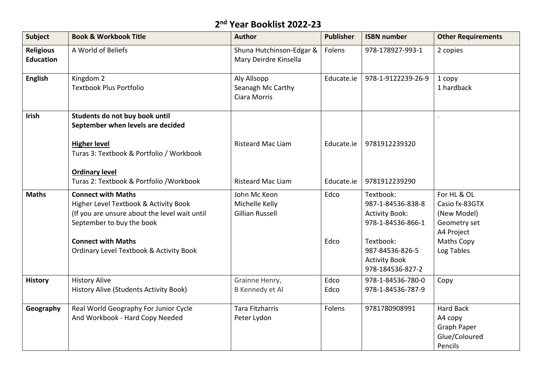# **2 nd Year Booklist 2022-23**

| <b>Subject</b>                       | <b>Book &amp; Workbook Title</b>                                                                                                                                                                                                    | <b>Author</b>                                            | <b>Publisher</b> | <b>ISBN number</b>                                                                                                                   | <b>Other Requirements</b>                                                                                     |
|--------------------------------------|-------------------------------------------------------------------------------------------------------------------------------------------------------------------------------------------------------------------------------------|----------------------------------------------------------|------------------|--------------------------------------------------------------------------------------------------------------------------------------|---------------------------------------------------------------------------------------------------------------|
| <b>Religious</b><br><b>Education</b> | A World of Beliefs                                                                                                                                                                                                                  | Shuna Hutchinson-Edgar &<br>Mary Deirdre Kinsella        | Folens           | 978-178927-993-1                                                                                                                     | 2 copies                                                                                                      |
| <b>English</b>                       | Kingdom 2<br><b>Textbook Plus Portfolio</b>                                                                                                                                                                                         | Aly Allsopp<br>Seanagh Mc Carthy<br>Ciara Morris         | Educate.ie       | 978-1-9122239-26-9                                                                                                                   | 1 copy<br>1 hardback                                                                                          |
| Irish                                | Students do not buy book until<br>September when levels are decided                                                                                                                                                                 |                                                          |                  |                                                                                                                                      |                                                                                                               |
|                                      | <b>Higher level</b><br>Turas 3: Textbook & Portfolio / Workbook<br><b>Ordinary level</b>                                                                                                                                            | <b>Risteard Mac Liam</b>                                 | Educate.ie       | 9781912239320                                                                                                                        |                                                                                                               |
|                                      | Turas 2: Textbook & Portfolio / Workbook                                                                                                                                                                                            | <b>Risteard Mac Liam</b>                                 | Educate.ie       | 9781912239290                                                                                                                        |                                                                                                               |
| <b>Maths</b>                         | <b>Connect with Maths</b><br>Higher Level Textbook & Activity Book<br>(If you are unsure about the level wait until<br>September to buy the book<br><b>Connect with Maths</b><br><b>Ordinary Level Textbook &amp; Activity Book</b> | John Mc Keon<br>Michelle Kelly<br><b>Gillian Russell</b> | Edco<br>Edco     | Textbook:<br>987-1-84536-838-8<br><b>Activity Book:</b><br>978-1-84536-866-1<br>Textbook:<br>987-84536-826-5<br><b>Activity Book</b> | For HL & OL<br>Casio fx-83GTX<br>(New Model)<br>Geometry set<br>A4 Project<br><b>Maths Copy</b><br>Log Tables |
|                                      |                                                                                                                                                                                                                                     |                                                          |                  | 978-184536-827-2                                                                                                                     |                                                                                                               |
| <b>History</b>                       | <b>History Alive</b><br>History Alive (Students Activity Book)                                                                                                                                                                      | Grainne Henry,<br>B Kennedy et Al                        | Edco<br>Edco     | 978-1-84536-780-0<br>978-1-84536-787-9                                                                                               | Copy                                                                                                          |
| Geography                            | Real World Geography For Junior Cycle<br>And Workbook - Hard Copy Needed                                                                                                                                                            | <b>Tara Fitzharris</b><br>Peter Lydon                    | Folens           | 9781780908991                                                                                                                        | <b>Hard Back</b><br>A4 copy<br>Graph Paper<br>Glue/Coloured<br>Pencils                                        |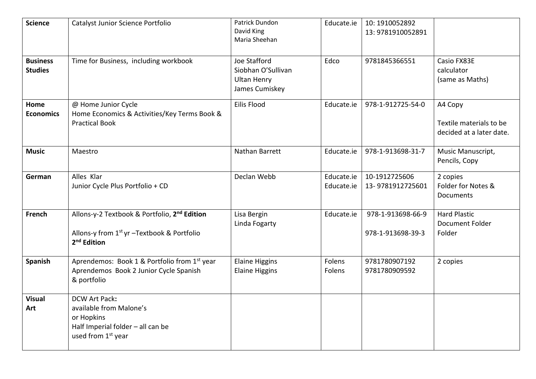| <b>Science</b>                    | Catalyst Junior Science Portfolio                                                                                                 | Patrick Dundon<br>David King<br>Maria Sheehan                                     | Educate.ie               | 10: 1910052892<br>13:9781910052891     |                                                                |
|-----------------------------------|-----------------------------------------------------------------------------------------------------------------------------------|-----------------------------------------------------------------------------------|--------------------------|----------------------------------------|----------------------------------------------------------------|
| <b>Business</b><br><b>Studies</b> | Time for Business, including workbook                                                                                             | <b>Joe Stafford</b><br>Siobhan O'Sullivan<br><b>Ultan Henry</b><br>James Cumiskey | Edco                     | 9781845366551                          | Casio FX83E<br>calculator<br>(same as Maths)                   |
| Home<br><b>Economics</b>          | @ Home Junior Cycle<br>Home Economics & Activities/Key Terms Book &<br><b>Practical Book</b>                                      | Eilis Flood                                                                       | Educate.ie               | 978-1-912725-54-0                      | A4 Copy<br>Textile materials to be<br>decided at a later date. |
| <b>Music</b>                      | Maestro                                                                                                                           | Nathan Barrett                                                                    | Educate.ie               | 978-1-913698-31-7                      | Music Manuscript,<br>Pencils, Copy                             |
| German                            | Alles Klar<br>Junior Cycle Plus Portfolio + CD                                                                                    | Declan Webb                                                                       | Educate.ie<br>Educate.ie | 10-1912725606<br>13-9781912725601      | 2 copies<br>Folder for Notes &<br>Documents                    |
| <b>French</b>                     | Allons-y-2 Textbook & Portfolio, 2 <sup>nd</sup> Edition<br>Allons-y from 1st yr -Textbook & Portfolio<br>2 <sup>nd</sup> Edition | Lisa Bergin<br>Linda Fogarty                                                      | Educate.ie               | 978-1-913698-66-9<br>978-1-913698-39-3 | <b>Hard Plastic</b><br>Document Folder<br>Folder               |
| Spanish                           | Aprendemos: Book 1 & Portfolio from 1st year<br>Aprendemos Book 2 Junior Cycle Spanish<br>& portfolio                             | <b>Elaine Higgins</b><br><b>Elaine Higgins</b>                                    | Folens<br>Folens         | 9781780907192<br>9781780909592         | 2 copies                                                       |
| <b>Visual</b><br>Art              | <b>DCW Art Pack:</b><br>available from Malone's<br>or Hopkins<br>Half Imperial folder - all can be<br>used from 1st year          |                                                                                   |                          |                                        |                                                                |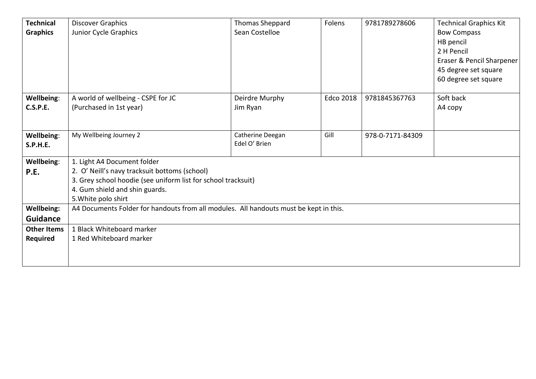| <b>Technical</b><br><b>Graphics</b>  | <b>Discover Graphics</b><br>Junior Cycle Graphics                                                                                                                                                      | Thomas Sheppard<br>Sean Costelloe | Folens    | 9781789278606    | <b>Technical Graphics Kit</b><br><b>Bow Compass</b><br>HB pencil<br>2 H Pencil<br>Eraser & Pencil Sharpener<br>45 degree set square |
|--------------------------------------|--------------------------------------------------------------------------------------------------------------------------------------------------------------------------------------------------------|-----------------------------------|-----------|------------------|-------------------------------------------------------------------------------------------------------------------------------------|
|                                      |                                                                                                                                                                                                        |                                   |           |                  | 60 degree set square                                                                                                                |
| Wellbeing:<br><b>C.S.P.E.</b>        | A world of wellbeing - CSPE for JC<br>(Purchased in 1st year)                                                                                                                                          | Deirdre Murphy<br>Jim Ryan        | Edco 2018 | 9781845367763    | Soft back<br>A4 copy                                                                                                                |
| Wellbeing:<br><b>S.P.H.E.</b>        | My Wellbeing Journey 2                                                                                                                                                                                 | Catherine Deegan<br>Edel O' Brien | Gill      | 978-0-7171-84309 |                                                                                                                                     |
| <b>Wellbeing:</b><br>P.E.            | 1. Light A4 Document folder<br>2. O' Neill's navy tracksuit bottoms (school)<br>3. Grey school hoodie (see uniform list for school tracksuit)<br>4. Gum shield and shin guards.<br>5. White polo shirt |                                   |           |                  |                                                                                                                                     |
| <b>Wellbeing:</b><br><b>Guidance</b> | A4 Documents Folder for handouts from all modules. All handouts must be kept in this.                                                                                                                  |                                   |           |                  |                                                                                                                                     |
| <b>Other Items</b><br>Required       | 1 Black Whiteboard marker<br>1 Red Whiteboard marker                                                                                                                                                   |                                   |           |                  |                                                                                                                                     |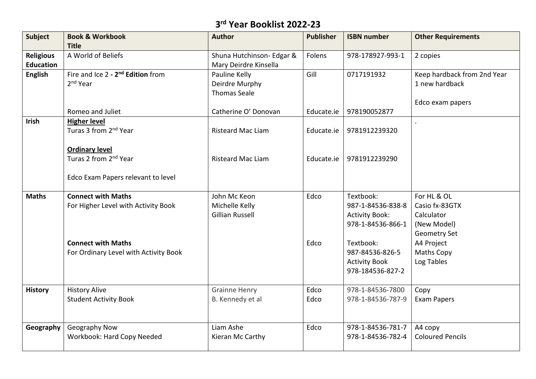# **3 rd Year Booklist 2022-23**

| <b>Subject</b>   | <b>Book &amp; Workbook</b>                    | <b>Author</b>             | <b>Publisher</b> | <b>ISBN number</b>    | <b>Other Requirements</b>   |
|------------------|-----------------------------------------------|---------------------------|------------------|-----------------------|-----------------------------|
|                  | <b>Title</b>                                  |                           |                  |                       |                             |
| <b>Religious</b> | A World of Beliefs                            | Shuna Hutchinson- Edgar & | Folens           | 978-178927-993-1      | 2 copies                    |
| <b>Education</b> |                                               | Mary Deirdre Kinsella     |                  |                       |                             |
| <b>English</b>   | Fire and Ice 2 - 2 <sup>nd</sup> Edition from | Pauline Kelly             | Gill             | 0717191932            | Keep hardback from 2nd Year |
|                  | $2nd$ Year                                    | Deirdre Murphy            |                  |                       | 1 new hardback              |
|                  |                                               | <b>Thomas Seale</b>       |                  |                       |                             |
|                  |                                               |                           |                  |                       | Edco exam papers            |
|                  | Romeo and Juliet                              | Catherine O' Donovan      | Educate.ie       | 978190052877          |                             |
| Irish            | <b>Higher level</b>                           |                           |                  |                       |                             |
|                  | Turas 3 from 2 <sup>nd</sup> Year             | <b>Risteard Mac Liam</b>  | Educate.ie       | 9781912239320         |                             |
|                  |                                               |                           |                  |                       |                             |
|                  | <b>Ordinary level</b>                         |                           |                  |                       |                             |
|                  | Turas 2 from 2 <sup>nd</sup> Year             | <b>Risteard Mac Liam</b>  | Educate.ie       | 9781912239290         |                             |
|                  | Edco Exam Papers relevant to level            |                           |                  |                       |                             |
|                  |                                               |                           |                  |                       |                             |
| <b>Maths</b>     | <b>Connect with Maths</b>                     | John Mc Keon              | Edco             | Textbook:             | For HL & OL                 |
|                  | For Higher Level with Activity Book           | Michelle Kelly            |                  | 987-1-84536-838-8     | Casio fx-83GTX              |
|                  |                                               | <b>Gillian Russell</b>    |                  | <b>Activity Book:</b> | Calculator                  |
|                  |                                               |                           |                  | 978-1-84536-866-1     | (New Model)                 |
|                  |                                               |                           |                  |                       | <b>Geometry Set</b>         |
|                  | <b>Connect with Maths</b>                     |                           | Edco             | Textbook:             | A4 Project                  |
|                  | For Ordinary Level with Activity Book         |                           |                  | 987-84536-826-5       | <b>Maths Copy</b>           |
|                  |                                               |                           |                  | <b>Activity Book</b>  | Log Tables                  |
|                  |                                               |                           |                  | 978-184536-827-2      |                             |
|                  |                                               |                           |                  |                       |                             |
| <b>History</b>   | <b>History Alive</b>                          | <b>Grainne Henry</b>      | Edco             | 978-1-84536-7800      | Copy                        |
|                  | <b>Student Activity Book</b>                  | B. Kennedy et al          | Edco             | 978-1-84536-787-9     | <b>Exam Papers</b>          |
|                  |                                               |                           |                  |                       |                             |
|                  |                                               |                           |                  |                       |                             |
| Geography        | Geography Now                                 | Liam Ashe                 | Edco             | 978-1-84536-781-7     | A4 copy                     |
|                  | Workbook: Hard Copy Needed                    | Kieran Mc Carthy          |                  | 978-1-84536-782-4     | <b>Coloured Pencils</b>     |
|                  |                                               |                           |                  |                       |                             |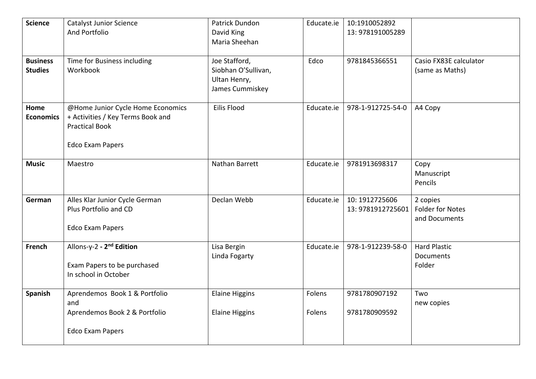| <b>Science</b>   | <b>Catalyst Junior Science</b>       | Patrick Dundon        | Educate.ie | 10:1910052892     |                         |
|------------------|--------------------------------------|-----------------------|------------|-------------------|-------------------------|
|                  | And Portfolio                        | David King            |            | 13:978191005289   |                         |
|                  |                                      | Maria Sheehan         |            |                   |                         |
|                  |                                      |                       |            |                   |                         |
| <b>Business</b>  | Time for Business including          | Joe Stafford,         | Edco       | 9781845366551     | Casio FX83E calculator  |
| <b>Studies</b>   | Workbook                             | Siobhan O'Sullivan,   |            |                   | (same as Maths)         |
|                  |                                      | Ultan Henry,          |            |                   |                         |
|                  |                                      | James Cummiskey       |            |                   |                         |
| Home             | @Home Junior Cycle Home Economics    | Eilis Flood           | Educate.ie | 978-1-912725-54-0 | A4 Copy                 |
| <b>Economics</b> | + Activities / Key Terms Book and    |                       |            |                   |                         |
|                  | <b>Practical Book</b>                |                       |            |                   |                         |
|                  |                                      |                       |            |                   |                         |
|                  | <b>Edco Exam Papers</b>              |                       |            |                   |                         |
| <b>Music</b>     | Maestro                              | Nathan Barrett        | Educate.ie | 9781913698317     |                         |
|                  |                                      |                       |            |                   | Copy<br>Manuscript      |
|                  |                                      |                       |            |                   | Pencils                 |
|                  |                                      |                       |            |                   |                         |
| German           | Alles Klar Junior Cycle German       | Declan Webb           | Educate.ie | 10: 1912725606    | 2 copies                |
|                  | Plus Portfolio and CD                |                       |            | 13:9781912725601  | <b>Folder for Notes</b> |
|                  |                                      |                       |            |                   | and Documents           |
|                  | <b>Edco Exam Papers</b>              |                       |            |                   |                         |
| French           | Allons-y-2 - 2 <sup>nd</sup> Edition | Lisa Bergin           | Educate.ie | 978-1-912239-58-0 | <b>Hard Plastic</b>     |
|                  |                                      | Linda Fogarty         |            |                   | Documents               |
|                  | Exam Papers to be purchased          |                       |            |                   | Folder                  |
|                  | In school in October                 |                       |            |                   |                         |
|                  |                                      |                       |            |                   |                         |
| Spanish          | Aprendemos Book 1 & Portfolio        | <b>Elaine Higgins</b> | Folens     | 9781780907192     | Two                     |
|                  | and                                  |                       |            |                   | new copies              |
|                  | Aprendemos Book 2 & Portfolio        | <b>Elaine Higgins</b> | Folens     | 9781780909592     |                         |
|                  |                                      |                       |            |                   |                         |
|                  | <b>Edco Exam Papers</b>              |                       |            |                   |                         |
|                  |                                      |                       |            |                   |                         |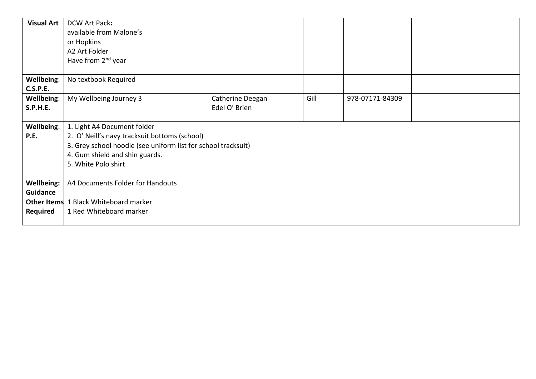| <b>Visual Art</b> | DCW Art Pack:                                                 |                  |      |                 |  |
|-------------------|---------------------------------------------------------------|------------------|------|-----------------|--|
|                   | available from Malone's                                       |                  |      |                 |  |
|                   | or Hopkins                                                    |                  |      |                 |  |
|                   | A2 Art Folder                                                 |                  |      |                 |  |
|                   | Have from 2 <sup>nd</sup> year                                |                  |      |                 |  |
|                   |                                                               |                  |      |                 |  |
| Wellbeing:        | No textbook Required                                          |                  |      |                 |  |
| <b>C.S.P.E.</b>   |                                                               |                  |      |                 |  |
| Wellbeing:        | My Wellbeing Journey 3                                        | Catherine Deegan | Gill | 978-07171-84309 |  |
| <b>S.P.H.E.</b>   |                                                               | Edel O' Brien    |      |                 |  |
|                   |                                                               |                  |      |                 |  |
| Wellbeing:        | 1. Light A4 Document folder                                   |                  |      |                 |  |
| P.E.              | 2. O' Neill's navy tracksuit bottoms (school)                 |                  |      |                 |  |
|                   | 3. Grey school hoodie (see uniform list for school tracksuit) |                  |      |                 |  |
|                   | 4. Gum shield and shin guards.                                |                  |      |                 |  |
|                   | 5. White Polo shirt                                           |                  |      |                 |  |
|                   |                                                               |                  |      |                 |  |
| <b>Wellbeing:</b> | A4 Documents Folder for Handouts                              |                  |      |                 |  |
| <b>Guidance</b>   |                                                               |                  |      |                 |  |
|                   | <b>Other Items</b> 1 Black Whiteboard marker                  |                  |      |                 |  |
| <b>Required</b>   | 1 Red Whiteboard marker                                       |                  |      |                 |  |
|                   |                                                               |                  |      |                 |  |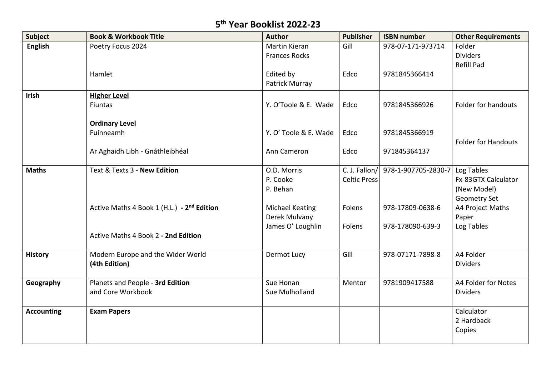#### **5 th Year Booklist 2022-23**

| <b>Subject</b>    | <b>Book &amp; Workbook Title</b>                       | <b>Author</b>                           | <b>Publisher</b>                     | <b>ISBN number</b>                   | <b>Other Requirements</b>                                        |
|-------------------|--------------------------------------------------------|-----------------------------------------|--------------------------------------|--------------------------------------|------------------------------------------------------------------|
| <b>English</b>    | Poetry Focus 2024                                      | Martin Kieran<br><b>Frances Rocks</b>   | Gill                                 | 978-07-171-973714                    | Folder<br><b>Dividers</b><br><b>Refill Pad</b>                   |
|                   | Hamlet                                                 | Edited by<br>Patrick Murray             | Edco                                 | 9781845366414                        |                                                                  |
| Irish             | <b>Higher Level</b><br>Fiuntas                         | Y. O'Toole & E. Wade                    | Edco                                 | 9781845366926                        | Folder for handouts                                              |
|                   | <b>Ordinary Level</b><br>Fuinneamh                     | Y. O' Toole & E. Wade                   | Edco                                 | 9781845366919                        | <b>Folder for Handouts</b>                                       |
|                   | Ar Aghaidh Libh - Gnáthleibhéal                        | Ann Cameron                             | Edco                                 | 971845364137                         |                                                                  |
| <b>Maths</b>      | Text & Texts 3 - New Edition                           | O.D. Morris<br>P. Cooke<br>P. Behan     | C. J. Fallon/<br><b>Celtic Press</b> | 978-1-907705-2830-7                  | Log Tables<br>Fx-83GTX Calculator<br>(New Model)<br>Geometry Set |
|                   | Active Maths 4 Book 1 (H.L.) - 2 <sup>nd</sup> Edition | <b>Michael Keating</b><br>Derek Mulvany | Folens<br>Folens                     | 978-17809-0638-6<br>978-178090-639-3 | A4 Project Maths<br>Paper                                        |
|                   | Active Maths 4 Book 2 - 2nd Edition                    | James O' Loughlin                       |                                      |                                      | Log Tables                                                       |
| <b>History</b>    | Modern Europe and the Wider World<br>(4th Edition)     | Dermot Lucy                             | Gill                                 | 978-07171-7898-8                     | A4 Folder<br><b>Dividers</b>                                     |
| Geography         | Planets and People - 3rd Edition<br>and Core Workbook  | Sue Honan<br>Sue Mulholland             | Mentor                               | 9781909417588                        | A4 Folder for Notes<br><b>Dividers</b>                           |
| <b>Accounting</b> | <b>Exam Papers</b>                                     |                                         |                                      |                                      | Calculator<br>2 Hardback<br>Copies                               |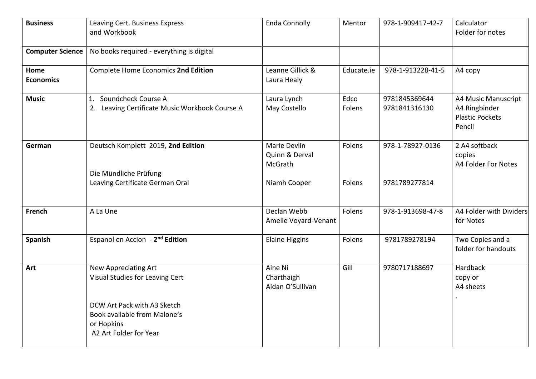| <b>Business</b>          | Leaving Cert. Business Express<br>and Workbook                                                                                                                        | <b>Enda Connolly</b>                                      | Mentor           | 978-1-909417-42-7                 | Calculator<br>Folder for notes                                           |
|--------------------------|-----------------------------------------------------------------------------------------------------------------------------------------------------------------------|-----------------------------------------------------------|------------------|-----------------------------------|--------------------------------------------------------------------------|
| <b>Computer Science</b>  | No books required - everything is digital                                                                                                                             |                                                           |                  |                                   |                                                                          |
| Home<br><b>Economics</b> | Complete Home Economics 2nd Edition                                                                                                                                   | Leanne Gillick &<br>Laura Healy                           | Educate.ie       | 978-1-913228-41-5                 | A4 copy                                                                  |
| <b>Music</b>             | 1. Soundcheck Course A<br>2. Leaving Certificate Music Workbook Course A                                                                                              | Laura Lynch<br>May Costello                               | Edco<br>Folens   | 9781845369644<br>9781841316130    | A4 Music Manuscript<br>A4 Ringbinder<br><b>Plastic Pockets</b><br>Pencil |
| German                   | Deutsch Komplett 2019, 2nd Edition<br>Die Mündliche Prüfung<br>Leaving Certificate German Oral                                                                        | Marie Devlin<br>Quinn & Derval<br>McGrath<br>Niamh Cooper | Folens<br>Folens | 978-1-78927-0136<br>9781789277814 | 2 A4 softback<br>copies<br>A4 Folder For Notes                           |
| French                   | A La Une                                                                                                                                                              | Declan Webb<br>Amelie Voyard-Venant                       | Folens           | 978-1-913698-47-8                 | A4 Folder with Dividers<br>for Notes                                     |
| Spanish                  | Espanol en Accion - 2 <sup>nd</sup> Edition                                                                                                                           | <b>Elaine Higgins</b>                                     | Folens           | 9781789278194                     | Two Copies and a<br>folder for handouts                                  |
| Art                      | <b>New Appreciating Art</b><br>Visual Studies for Leaving Cert<br>DCW Art Pack with A3 Sketch<br>Book available from Malone's<br>or Hopkins<br>A2 Art Folder for Year | Aine Ni<br>Charthaigh<br>Aidan O'Sullivan                 | Gill             | 9780717188697                     | Hardback<br>copy or<br>A4 sheets                                         |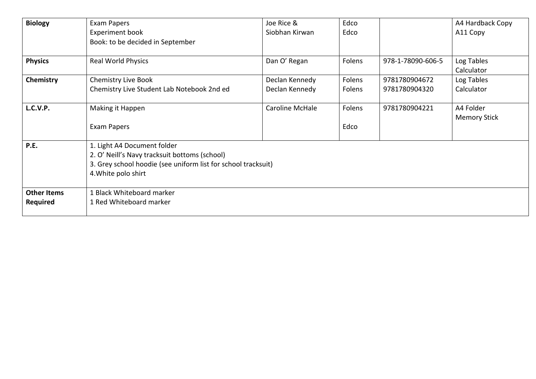| <b>Biology</b>     | Exam Papers                                                   | Joe Rice &      | Edco   |                   | A4 Hardback Copy    |  |  |  |
|--------------------|---------------------------------------------------------------|-----------------|--------|-------------------|---------------------|--|--|--|
|                    | Experiment book                                               | Siobhan Kirwan  | Edco   |                   | A11 Copy            |  |  |  |
|                    | Book: to be decided in September                              |                 |        |                   |                     |  |  |  |
| <b>Physics</b>     | <b>Real World Physics</b>                                     | Dan O' Regan    | Folens | 978-1-78090-606-5 | Log Tables          |  |  |  |
|                    |                                                               |                 |        |                   | Calculator          |  |  |  |
| Chemistry          | <b>Chemistry Live Book</b>                                    | Declan Kennedy  | Folens | 9781780904672     | Log Tables          |  |  |  |
|                    | Chemistry Live Student Lab Notebook 2nd ed                    | Declan Kennedy  | Folens | 9781780904320     | Calculator          |  |  |  |
| <b>L.C.V.P.</b>    | Making it Happen                                              | Caroline McHale | Folens | 9781780904221     | A4 Folder           |  |  |  |
|                    |                                                               |                 |        |                   | <b>Memory Stick</b> |  |  |  |
|                    | Exam Papers                                                   |                 | Edco   |                   |                     |  |  |  |
| P.E.               | 1. Light A4 Document folder                                   |                 |        |                   |                     |  |  |  |
|                    | 2. O' Neill's Navy tracksuit bottoms (school)                 |                 |        |                   |                     |  |  |  |
|                    | 3. Grey school hoodie (see uniform list for school tracksuit) |                 |        |                   |                     |  |  |  |
|                    | 4. White polo shirt                                           |                 |        |                   |                     |  |  |  |
| <b>Other Items</b> | 1 Black Whiteboard marker                                     |                 |        |                   |                     |  |  |  |
| <b>Required</b>    | 1 Red Whiteboard marker                                       |                 |        |                   |                     |  |  |  |
|                    |                                                               |                 |        |                   |                     |  |  |  |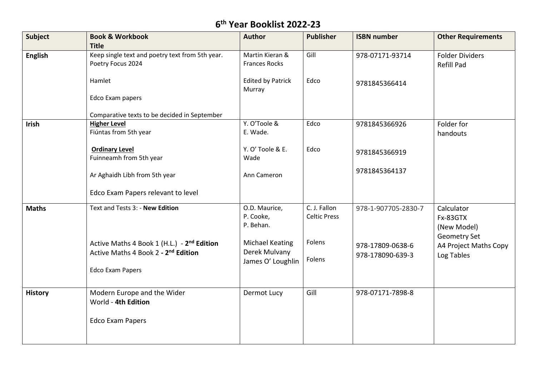## **6 th Year Booklist 2022-23**

| <b>Subject</b> | <b>Book &amp; Workbook</b><br><b>Title</b>                                                                                           | <b>Author</b>                                                | <b>Publisher</b>                    | <b>ISBN number</b>                   | <b>Other Requirements</b>                                    |
|----------------|--------------------------------------------------------------------------------------------------------------------------------------|--------------------------------------------------------------|-------------------------------------|--------------------------------------|--------------------------------------------------------------|
| <b>English</b> | Keep single text and poetry text from 5th year.<br>Poetry Focus 2024                                                                 | Martin Kieran &<br><b>Frances Rocks</b>                      | Gill                                | 978-07171-93714                      | <b>Folder Dividers</b><br><b>Refill Pad</b>                  |
|                | Hamlet<br>Edco Exam papers<br>Comparative texts to be decided in September                                                           | <b>Edited by Patrick</b><br>Murray                           | Edco                                | 9781845366414                        |                                                              |
| Irish          | <b>Higher Level</b><br>Fiúntas from 5th year                                                                                         | Y. O'Toole &<br>E. Wade.                                     | Edco                                | 9781845366926                        | Folder for<br>handouts                                       |
|                | <b>Ordinary Level</b><br>Fuinneamh from 5th year                                                                                     | Y. O' Toole & E.<br>Wade                                     | Edco                                | 9781845366919                        |                                                              |
|                | Ar Aghaidh Libh from 5th year<br>Edco Exam Papers relevant to level                                                                  | Ann Cameron                                                  |                                     | 9781845364137                        |                                                              |
| <b>Maths</b>   | Text and Tests 3: - New Edition                                                                                                      | O.D. Maurice,<br>P. Cooke,<br>P. Behan.                      | C. J. Fallon<br><b>Celtic Press</b> | 978-1-907705-2830-7                  | Calculator<br>Fx-83GTX<br>(New Model)<br><b>Geometry Set</b> |
|                | Active Maths 4 Book 1 (H.L.) - 2 <sup>nd</sup> Edition<br>Active Maths 4 Book 2 - 2 <sup>nd</sup> Edition<br><b>Edco Exam Papers</b> | <b>Michael Keating</b><br>Derek Mulvany<br>James O' Loughlin | Folens<br>Folens                    | 978-17809-0638-6<br>978-178090-639-3 | A4 Project Maths Copy<br>Log Tables                          |
| <b>History</b> | Modern Europe and the Wider<br>World - 4th Edition                                                                                   | Dermot Lucy                                                  | Gill                                | 978-07171-7898-8                     |                                                              |
|                | <b>Edco Exam Papers</b>                                                                                                              |                                                              |                                     |                                      |                                                              |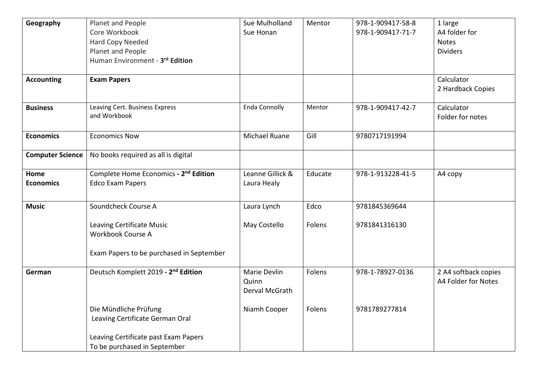| Geography               | Planet and People                                 | Sue Mulholland       | Mentor  | 978-1-909417-58-8 | 1 large              |
|-------------------------|---------------------------------------------------|----------------------|---------|-------------------|----------------------|
|                         | Core Workbook                                     | Sue Honan            |         | 978-1-909417-71-7 | A4 folder for        |
|                         | Hard Copy Needed                                  |                      |         |                   | <b>Notes</b>         |
|                         | Planet and People                                 |                      |         |                   | <b>Dividers</b>      |
|                         | Human Environment - 3rd Edition                   |                      |         |                   |                      |
|                         |                                                   |                      |         |                   |                      |
| <b>Accounting</b>       | <b>Exam Papers</b>                                |                      |         |                   | Calculator           |
|                         |                                                   |                      |         |                   | 2 Hardback Copies    |
|                         |                                                   |                      |         |                   |                      |
| <b>Business</b>         | Leaving Cert. Business Express                    | <b>Enda Connolly</b> | Mentor  | 978-1-909417-42-7 | Calculator           |
|                         | and Workbook                                      |                      |         |                   | Folder for notes     |
|                         |                                                   |                      |         |                   |                      |
| <b>Economics</b>        | <b>Economics Now</b>                              | Michael Ruane        | Gill    | 9780717191994     |                      |
|                         |                                                   |                      |         |                   |                      |
| <b>Computer Science</b> | No books required as all is digital               |                      |         |                   |                      |
|                         |                                                   |                      |         |                   |                      |
| Home                    | Complete Home Economics - 2 <sup>nd</sup> Edition | Leanne Gillick &     | Educate | 978-1-913228-41-5 | A4 copy              |
| <b>Economics</b>        | <b>Edco Exam Papers</b>                           | Laura Healy          |         |                   |                      |
|                         |                                                   |                      |         |                   |                      |
| <b>Music</b>            | Soundcheck Course A                               | Laura Lynch          | Edco    | 9781845369644     |                      |
|                         |                                                   |                      |         |                   |                      |
|                         | Leaving Certificate Music                         | May Costello         | Folens  | 9781841316130     |                      |
|                         | Workbook Course A                                 |                      |         |                   |                      |
|                         |                                                   |                      |         |                   |                      |
|                         | Exam Papers to be purchased in September          |                      |         |                   |                      |
|                         |                                                   |                      |         |                   |                      |
| German                  | Deutsch Komplett 2019 - 2 <sup>nd</sup> Edition   | Marie Devlin         | Folens  | 978-1-78927-0136  | 2 A4 softback copies |
|                         |                                                   | Quinn                |         |                   | A4 Folder for Notes  |
|                         |                                                   | Derval McGrath       |         |                   |                      |
|                         |                                                   |                      |         |                   |                      |
|                         | Die Mündliche Prüfung                             | Niamh Cooper         | Folens  | 9781789277814     |                      |
|                         | Leaving Certificate German Oral                   |                      |         |                   |                      |
|                         |                                                   |                      |         |                   |                      |
|                         | Leaving Certificate past Exam Papers              |                      |         |                   |                      |
|                         | To be purchased in September                      |                      |         |                   |                      |